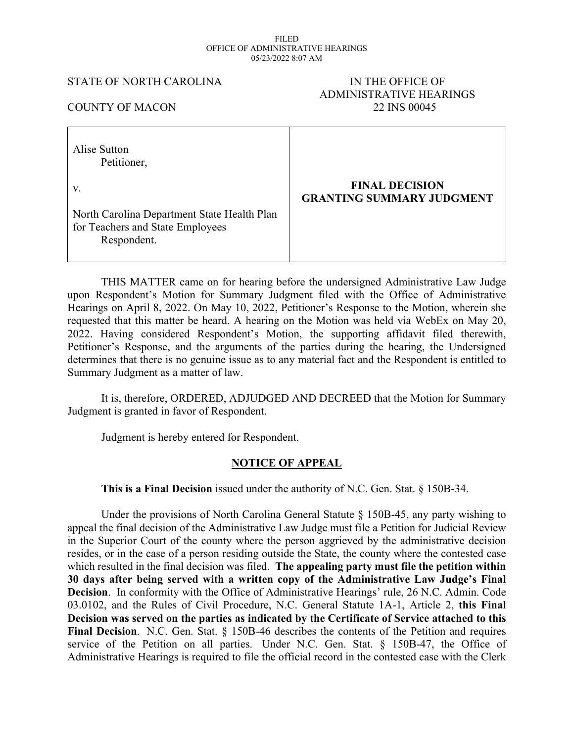#### FILED OFFICE OF ADMINISTRATIVE HEARINGS 05/23/2022 8:07 AM

#### STATE OF NORTH CAROLINA IN THE OFFICE OF

# ADMINISTRATIVE HEARINGS COUNTY OF MACON 22 INS 00045

| Alise Sutton<br>Petitioner,                                                                    |                                                           |
|------------------------------------------------------------------------------------------------|-----------------------------------------------------------|
| V.                                                                                             | <b>FINAL DECISION</b><br><b>GRANTING SUMMARY JUDGMENT</b> |
| North Carolina Department State Health Plan<br>for Teachers and State Employees<br>Respondent. |                                                           |

THIS MATTER came on for hearing before the undersigned Administrative Law Judge upon Respondent's Motion for Summary Judgment filed with the Office of Administrative Hearings on April 8, 2022. On May 10, 2022, Petitioner's Response to the Motion, wherein she requested that this matter be heard. A hearing on the Motion was held via WebEx on May 20, 2022. Having considered Respondent's Motion, the supporting affidavit filed therewith, Petitioner's Response, and the arguments of the parties during the hearing, the Undersigned determines that there is no genuine issue as to any material fact and the Respondent is entitled to Summary Judgment as a matter of law.

It is, therefore, ORDERED, ADJUDGED AND DECREED that the Motion for Summary Judgment is granted in favor of Respondent.

Judgment is hereby entered for Respondent.

### **NOTICE OF APPEAL**

**This is a Final Decision** issued under the authority of N.C. Gen. Stat. § 150B-34.

Under the provisions of North Carolina General Statute § 150B-45, any party wishing to appeal the final decision of the Administrative Law Judge must file a Petition for Judicial Review in the Superior Court of the county where the person aggrieved by the administrative decision resides, or in the case of a person residing outside the State, the county where the contested case which resulted in the final decision was filed. **The appealing party must file the petition within 30 days after being served with a written copy of the Administrative Law Judge's Final Decision**. In conformity with the Office of Administrative Hearings' rule, 26 N.C. Admin. Code 03.0102, and the Rules of Civil Procedure, N.C. General Statute 1A-1, Article 2, **this Final Decision was served on the parties as indicated by the Certificate of Service attached to this Final Decision**. N.C. Gen. Stat. § 150B-46 describes the contents of the Petition and requires service of the Petition on all parties. Under N.C. Gen. Stat. § 150B-47, the Office of Administrative Hearings is required to file the official record in the contested case with the Clerk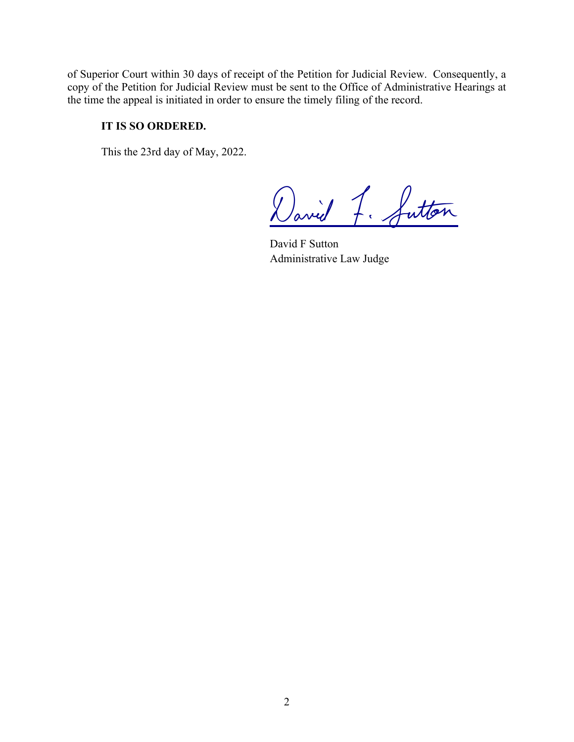of Superior Court within 30 days of receipt of the Petition for Judicial Review. Consequently, a copy of the Petition for Judicial Review must be sent to the Office of Administrative Hearings at the time the appeal is initiated in order to ensure the timely filing of the record.

## **IT IS SO ORDERED.**

This the 23rd day of May, 2022.

David F. Sutton

David F Sutton Administrative Law Judge